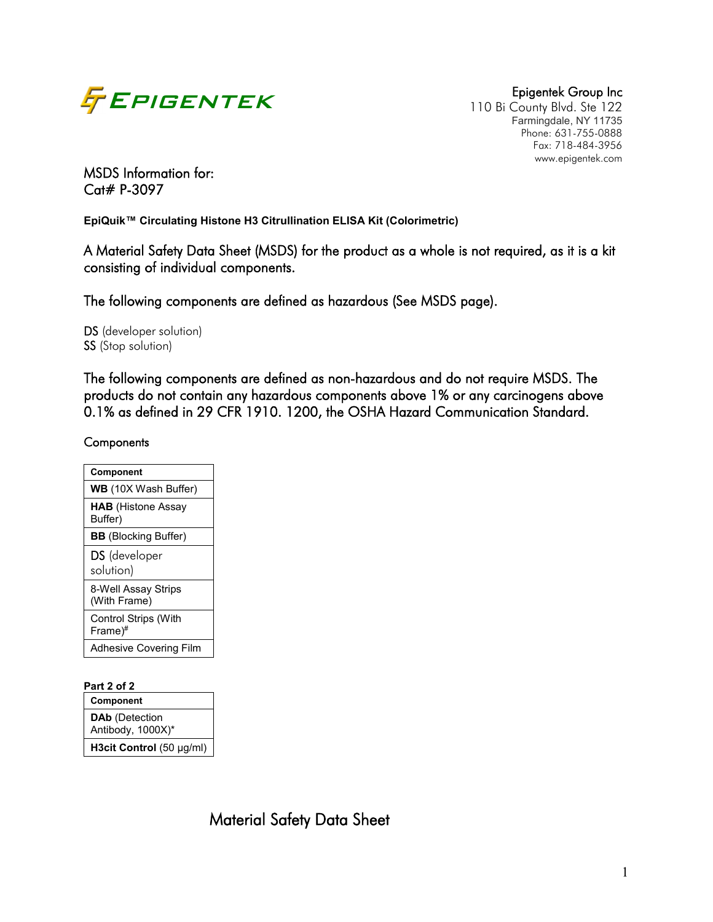

110 Bi County Blvd. Ste 122 Farmingdale, NY 11735 Phone: 631-755-0888 Fax: 718-484-3956 www.epigentek.com

## MSDS Information for: Cat# P-3097

**EpiQuik™ Circulating Histone H3 Citrullination ELISA Kit (Colorimetric)**

A Material Safety Data Sheet (MSDS) for the product as a whole is not required, as it is a kit consisting of individual components.

The following components are defined as hazardous (See MSDS page).

DS (developer solution) SS (Stop solution)

The following components are defined as non-hazardous and do not require MSDS. The products do not contain any hazardous components above 1% or any carcinogens above 0.1% as defined in 29 CFR 1910. 1200, the OSHA Hazard Communication Standard.

#### **Components**

| Component                              |
|----------------------------------------|
| <b>WB</b> (10X Wash Buffer)            |
| <b>HAB</b> (Histone Assay<br>Buffer)   |
| <b>BB</b> (Blocking Buffer)            |
| <b>DS</b> (developer<br>solution)      |
| 8-Well Assay Strips<br>(With Frame)    |
| <b>Control Strips (With</b><br>Frame)# |
| <b>Adhesive Covering Film</b>          |

#### **Part 2 of 2**

**Component DAb** (Detection Antibody, 1000X)\* **H3cit Control** (50 µg/ml)

Material Safety Data Sheet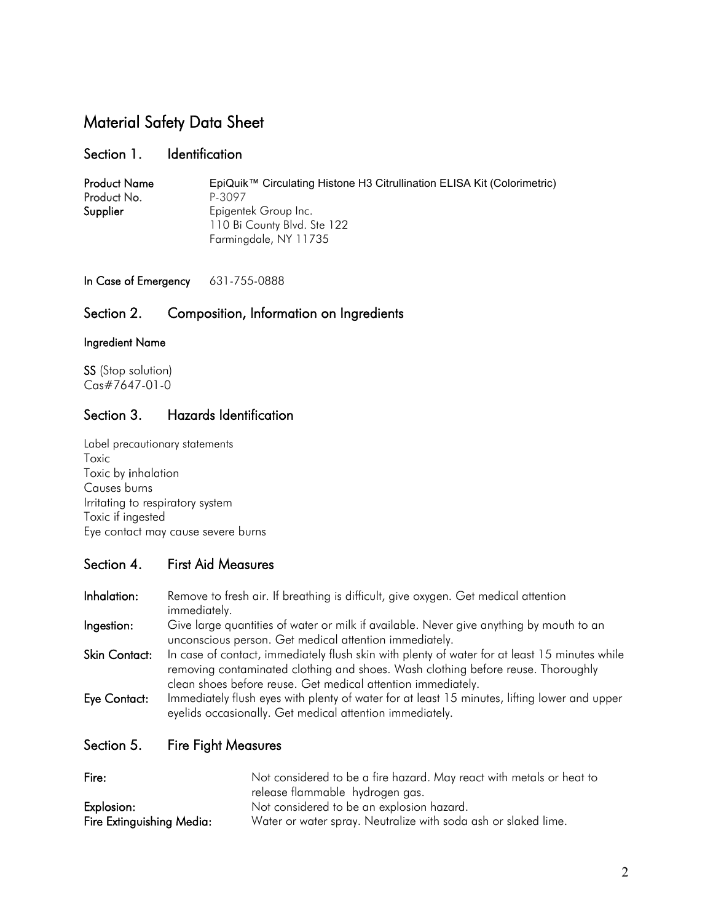# Material Safety Data Sheet

#### Section 1. Identification

| <b>Product Name</b> | EpiQuik™ Circulating Histone H3 Citrullination ELISA Kit (Colorimetric) |
|---------------------|-------------------------------------------------------------------------|
| Product No.         | P-3097                                                                  |
| Supplier            | Epigentek Group Inc.                                                    |
|                     | 110 Bi County Blvd. Ste 122                                             |
|                     | Farmingdale, NY 11735                                                   |

In Case of Emergency 631-755-0888

## Section 2. Composition, Information on Ingredients

#### Ingredient Name

SS (Stop solution) Cas#7647-01-0

## Section 3. Hazards Identification

Label precautionary statements Toxic Toxic by inhalation Causes burns Irritating to respiratory system Toxic if ingested Eye contact may cause severe burns

## Section 4. First Aid Measures

- Inhalation: Remove to fresh air. If breathing is difficult, give oxygen. Get medical attention immediately.
- Ingestion: Give large quantities of water or milk if available. Never give anything by mouth to an unconscious person. Get medical attention immediately.
- Skin Contact: In case of contact, immediately flush skin with plenty of water for at least 15 minutes while removing contaminated clothing and shoes. Wash clothing before reuse. Thoroughly clean shoes before reuse. Get medical attention immediately.
- Eye Contact: Immediately flush eyes with plenty of water for at least 15 minutes, lifting lower and upper eyelids occasionally. Get medical attention immediately.
- Section 5. Fire Fight Measures

| Fire:                     | Not considered to be a fire hazard. May react with metals or heat to |  |  |  |
|---------------------------|----------------------------------------------------------------------|--|--|--|
|                           | release flammable hydrogen gas.                                      |  |  |  |
| Explosion:                | Not considered to be an explosion hazard.                            |  |  |  |
| Fire Extinguishing Media: | Water or water spray. Neutralize with soda ash or slaked lime.       |  |  |  |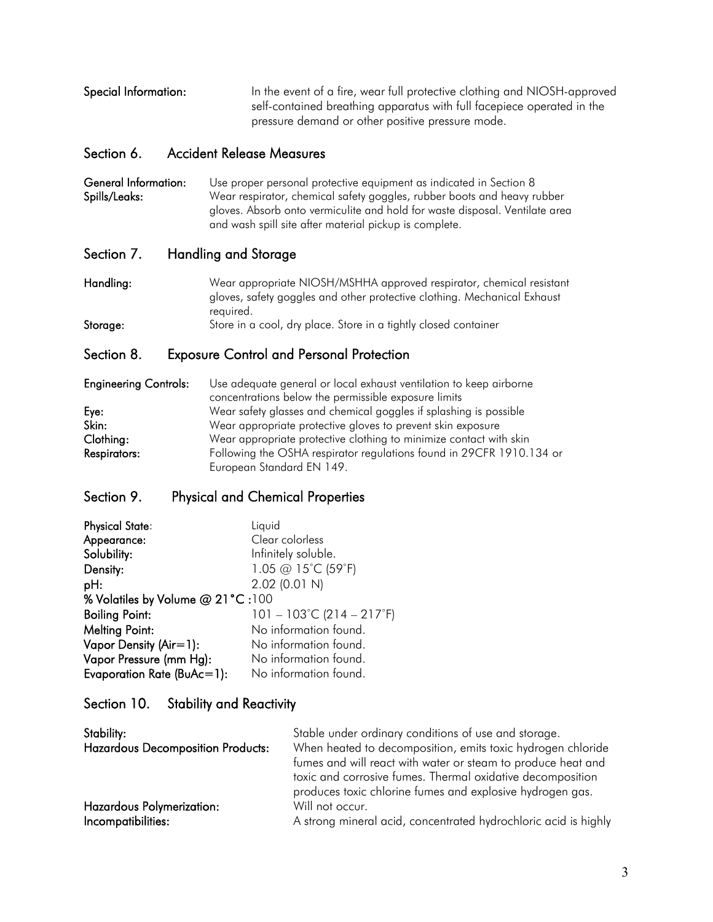Special Information: In the event of a fire, wear full protective clothing and NIOSH-approved self-contained breathing apparatus with full facepiece operated in the pressure demand or other positive pressure mode.

## Section 6. Accident Release Measures

General Information: Use proper personal protective equipment as indicated in Section 8 Spills/Leaks: Wear respirator, chemical safety goggles, rubber boots and heavy rubber gloves. Absorb onto vermiculite and hold for waste disposal. Ventilate area and wash spill site after material pickup is complete.

## Section 7. Handling and Storage

Handling: Wear appropriate NIOSH/MSHHA approved respirator, chemical resistant gloves, safety goggles and other protective clothing. Mechanical Exhaust required. Storage: Store in a cool, dry place. Store in a tightly closed container

## Section 8. Exposure Control and Personal Protection

| <b>Engineering Controls:</b> | Use adequate general or local exhaust ventilation to keep airborne   |
|------------------------------|----------------------------------------------------------------------|
|                              | concentrations below the permissible exposure limits                 |
| Eye:                         | Wear safety glasses and chemical goggles if splashing is possible    |
| Skin:                        | Wear appropriate protective gloves to prevent skin exposure          |
| Clothing:                    | Wear appropriate protective clothing to minimize contact with skin   |
| <b>Respirators:</b>          | Following the OSHA respirator regulations found in 29CFR 1910.134 or |
|                              | European Standard EN 149.                                            |

## Section 9. Physical and Chemical Properties

| <b>Physical State:</b>           | Liquid                                         |  |  |
|----------------------------------|------------------------------------------------|--|--|
| Appearance:                      | Clear colorless                                |  |  |
| Solubility:                      | Infinitely soluble.                            |  |  |
| Density:                         | 1.05 @ 15°C (59°F)                             |  |  |
| pH:                              | $2.02$ (0.01 N)                                |  |  |
| % Volatiles by Volume @ 21°C:100 |                                                |  |  |
| <b>Boiling Point:</b>            | $101 - 103^{\circ}$ C (214 – 217 $^{\circ}$ F) |  |  |
| <b>Melting Point:</b>            | No information found.                          |  |  |
| Vapor Density (Air=1):           | No information found.                          |  |  |
| Vapor Pressure (mm Hg):          | No information found.                          |  |  |
| Evaporation Rate (BuAc=1):       | No information found.                          |  |  |

## Section 10. Stability and Reactivity

| Stability:                               | Stable under ordinary conditions of use and storage.<br>When heated to decomposition, emits toxic hydrogen chloride |
|------------------------------------------|---------------------------------------------------------------------------------------------------------------------|
| <b>Hazardous Decomposition Products:</b> |                                                                                                                     |
|                                          | fumes and will react with water or steam to produce heat and                                                        |
|                                          | toxic and corrosive fumes. Thermal oxidative decomposition                                                          |
|                                          | produces toxic chlorine fumes and explosive hydrogen gas.                                                           |
| <b>Hazardous Polymerization:</b>         | Will not occur.                                                                                                     |
| Incompatibilities:                       | A strong mineral acid, concentrated hydrochloric acid is highly                                                     |